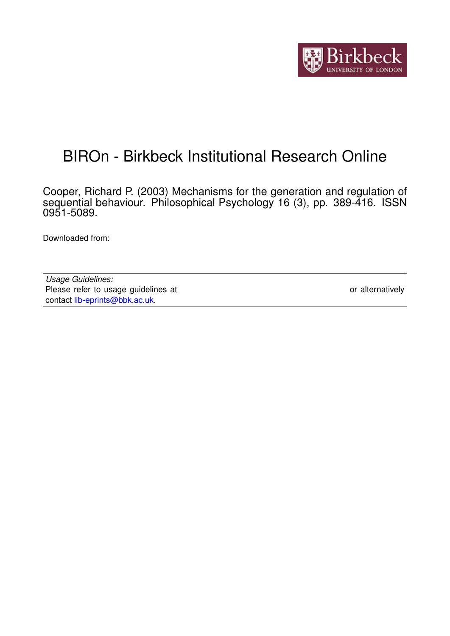

# BIROn - Birkbeck Institutional Research Online

Cooper, Richard P. (2003) Mechanisms for the generation and regulation of sequential behaviour. Philosophical Psychology 16 (3), pp. 389-416. ISSN 0951-5089.

Downloaded from: <https://eprints.bbk.ac.uk/id/eprint/534/>

*Usage Guidelines:* Please refer to usage guidelines at <https://eprints.bbk.ac.uk/policies.html> or alternatively contact [lib-eprints@bbk.ac.uk.](mailto:lib-eprints@bbk.ac.uk)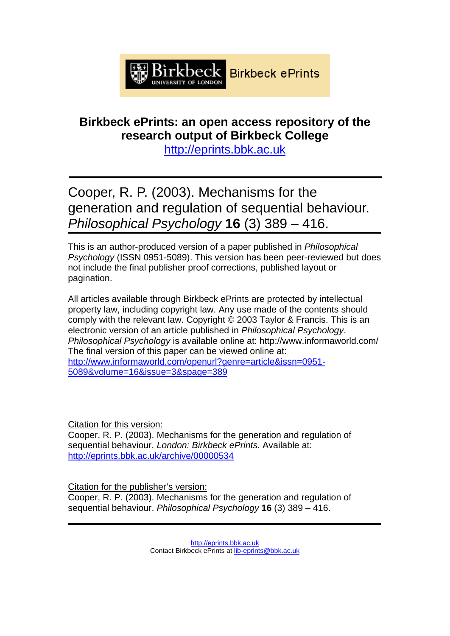

## **Birkbeck ePrints: an open access repository of the research output of Birkbeck College**

[http://eprints.bbk.ac.uk](http://eprints.bbk.ac.uk/)

Cooper, R. P. (2003). Mechanisms for the generation and regulation of sequential behaviour. *Philosophical Psychology* **16** (3) 389 – 416.

This is an author-produced version of a paper published in *Philosophical Psychology* (ISSN 0951-5089). This version has been peer-reviewed but does not include the final publisher proof corrections, published layout or pagination.

All articles available through Birkbeck ePrints are protected by intellectual property law, including copyright law. Any use made of the contents should comply with the relevant law. Copyright © 2003 Taylor & Francis. This is an electronic version of an article published in *Philosophical Psychology*. *Philosophical Psychology* is available online at: http://www.informaworld.com/ The final version of this paper can be viewed online at: [http://www.informaworld.com/openurl?genre=article&issn=0951-](http://www.informaworld.com/openurl?genre=article&issn=0951-5089&volume=16&issue=3&spage=389) [5089&volume=16&issue=3&spage=389](http://www.informaworld.com/openurl?genre=article&issn=0951-5089&volume=16&issue=3&spage=389)

Citation for this version: Cooper, R. P. (2003). Mechanisms for the generation and regulation of sequential behaviour. *London: Birkbeck ePrints.* Available at: <http://eprints.bbk.ac.uk/archive/00000534>

Citation for the publisher's version: Cooper, R. P. (2003). Mechanisms for the generation and regulation of sequential behaviour. *Philosophical Psychology* **16** (3) 389 – 416.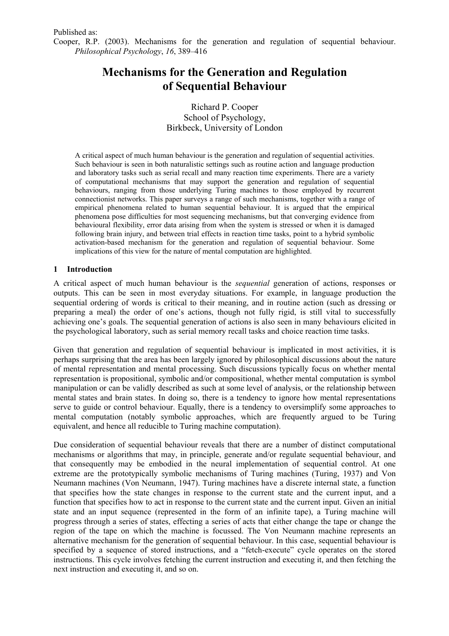Cooper, R.P. (2003). Mechanisms for the generation and regulation of sequential behaviour. *Philosophical Psychology*, *16*, 389–416

## **Mechanisms for the Generation and Regulation of Sequential Behaviour**

Richard P. Cooper School of Psychology, Birkbeck, University of London

A critical aspect of much human behaviour is the generation and regulation of sequential activities. Such behaviour is seen in both naturalistic settings such as routine action and language production and laboratory tasks such as serial recall and many reaction time experiments. There are a variety of computational mechanisms that may support the generation and regulation of sequential behaviours, ranging from those underlying Turing machines to those employed by recurrent connectionist networks. This paper surveys a range of such mechanisms, together with a range of empirical phenomena related to human sequential behaviour. It is argued that the empirical phenomena pose difficulties for most sequencing mechanisms, but that converging evidence from behavioural flexibility, error data arising from when the system is stressed or when it is damaged following brain injury, and between trial effects in reaction time tasks, point to a hybrid symbolic activation-based mechanism for the generation and regulation of sequential behaviour. Some implications of this view for the nature of mental computation are highlighted.

#### **1 Introduction**

A critical aspect of much human behaviour is the *sequential* generation of actions, responses or outputs. This can be seen in most everyday situations. For example, in language production the sequential ordering of words is critical to their meaning, and in routine action (such as dressing or preparing a meal) the order of one's actions, though not fully rigid, is still vital to successfully achieving one's goals. The sequential generation of actions is also seen in many behaviours elicited in the psychological laboratory, such as serial memory recall tasks and choice reaction time tasks.

Given that generation and regulation of sequential behaviour is implicated in most activities, it is perhaps surprising that the area has been largely ignored by philosophical discussions about the nature of mental representation and mental processing. Such discussions typically focus on whether mental representation is propositional, symbolic and/or compositional, whether mental computation is symbol manipulation or can be validly described as such at some level of analysis, or the relationship between mental states and brain states. In doing so, there is a tendency to ignore how mental representations serve to guide or control behaviour. Equally, there is a tendency to oversimplify some approaches to mental computation (notably symbolic approaches, which are frequently argued to be Turing equivalent, and hence all reducible to Turing machine computation).

Due consideration of sequential behaviour reveals that there are a number of distinct computational mechanisms or algorithms that may, in principle, generate and/or regulate sequential behaviour, and that consequently may be embodied in the neural implementation of sequential control. At one extreme are the prototypically symbolic mechanisms of Turing machines (Turing, 1937) and Von Neumann machines (Von Neumann, 1947). Turing machines have a discrete internal state, a function that specifies how the state changes in response to the current state and the current input, and a function that specifies how to act in response to the current state and the current input. Given an initial state and an input sequence (represented in the form of an infinite tape), a Turing machine will progress through a series of states, effecting a series of acts that either change the tape or change the region of the tape on which the machine is focussed. The Von Neumann machine represents an alternative mechanism for the generation of sequential behaviour. In this case, sequential behaviour is specified by a sequence of stored instructions, and a "fetch-execute" cycle operates on the stored instructions. This cycle involves fetching the current instruction and executing it, and then fetching the next instruction and executing it, and so on.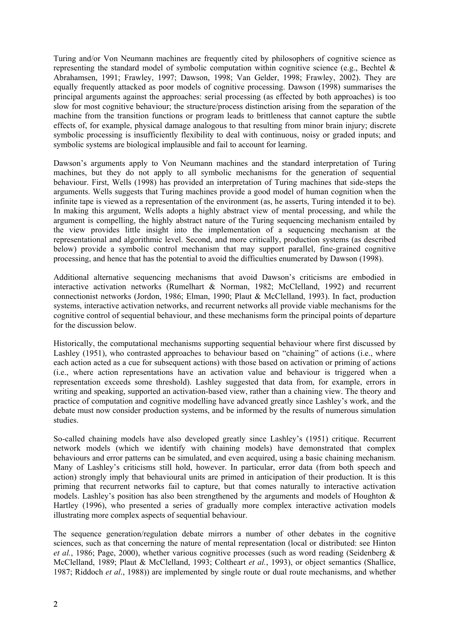Turing and/or Von Neumann machines are frequently cited by philosophers of cognitive science as representing the standard model of symbolic computation within cognitive science (e.g., Bechtel  $\&$ Abrahamsen, 1991; Frawley, 1997; Dawson, 1998; Van Gelder, 1998; Frawley, 2002). They are equally frequently attacked as poor models of cognitive processing. Dawson (1998) summarises the principal arguments against the approaches: serial processing (as effected by both approaches) is too slow for most cognitive behaviour; the structure/process distinction arising from the separation of the machine from the transition functions or program leads to brittleness that cannot capture the subtle effects of, for example, physical damage analogous to that resulting from minor brain injury; discrete symbolic processing is insufficiently flexibility to deal with continuous, noisy or graded inputs; and symbolic systems are biological implausible and fail to account for learning.

Dawson's arguments apply to Von Neumann machines and the standard interpretation of Turing machines, but they do not apply to all symbolic mechanisms for the generation of sequential behaviour. First, Wells (1998) has provided an interpretation of Turing machines that side-steps the arguments. Wells suggests that Turing machines provide a good model of human cognition when the infinite tape is viewed as a representation of the environment (as, he asserts, Turing intended it to be). In making this argument, Wells adopts a highly abstract view of mental processing, and while the argument is compelling, the highly abstract nature of the Turing sequencing mechanism entailed by the view provides little insight into the implementation of a sequencing mechanism at the representational and algorithmic level. Second, and more critically, production systems (as described below) provide a symbolic control mechanism that may support parallel, fine-grained cognitive processing, and hence that has the potential to avoid the difficulties enumerated by Dawson (1998).

Additional alternative sequencing mechanisms that avoid Dawson's criticisms are embodied in interactive activation networks (Rumelhart & Norman, 1982; McClelland, 1992) and recurrent connectionist networks (Jordon, 1986; Elman, 1990; Plaut & McClelland, 1993). In fact, production systems, interactive activation networks, and recurrent networks all provide viable mechanisms for the cognitive control of sequential behaviour, and these mechanisms form the principal points of departure for the discussion below.

Historically, the computational mechanisms supporting sequential behaviour where first discussed by Lashley (1951), who contrasted approaches to behaviour based on "chaining" of actions (i.e., where each action acted as a cue for subsequent actions) with those based on activation or priming of actions (i.e., where action representations have an activation value and behaviour is triggered when a representation exceeds some threshold). Lashley suggested that data from, for example, errors in writing and speaking, supported an activation-based view, rather than a chaining view. The theory and practice of computation and cognitive modelling have advanced greatly since Lashley's work, and the debate must now consider production systems, and be informed by the results of numerous simulation studies.

So-called chaining models have also developed greatly since Lashley's (1951) critique. Recurrent network models (which we identify with chaining models) have demonstrated that complex behaviours and error patterns can be simulated, and even acquired, using a basic chaining mechanism. Many of Lashley's criticisms still hold, however. In particular, error data (from both speech and action) strongly imply that behavioural units are primed in anticipation of their production. It is this priming that recurrent networks fail to capture, but that comes naturally to interactive activation models. Lashley's position has also been strengthened by the arguments and models of Houghton  $\&$ Hartley (1996), who presented a series of gradually more complex interactive activation models illustrating more complex aspects of sequential behaviour.

The sequence generation/regulation debate mirrors a number of other debates in the cognitive sciences, such as that concerning the nature of mental representation (local or distributed: see Hinton *et al.*, 1986; Page, 2000), whether various cognitive processes (such as word reading (Seidenberg & McClelland, 1989; Plaut & McClelland, 1993; Coltheart *et al.*, 1993), or object semantics (Shallice, 1987; Riddoch *et al*., 1988)) are implemented by single route or dual route mechanisms, and whether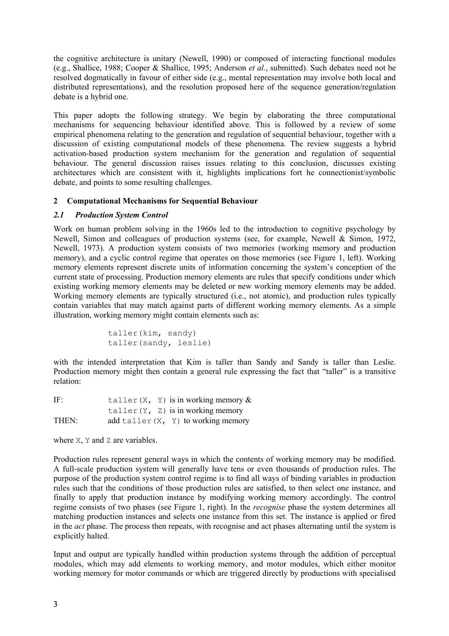the cognitive architecture is unitary (Newell, 1990) or composed of interacting functional modules (e.g., Shallice, 1988; Cooper & Shallice, 1995; Anderson *et al.*, submitted). Such debates need not be resolved dogmatically in favour of either side (e.g., mental representation may involve both local and distributed representations), and the resolution proposed here of the sequence generation/regulation debate is a hybrid one.

This paper adopts the following strategy. We begin by elaborating the three computational mechanisms for sequencing behaviour identified above. This is followed by a review of some empirical phenomena relating to the generation and regulation of sequential behaviour, together with a discussion of existing computational models of these phenomena. The review suggests a hybrid activation-based production system mechanism for the generation and regulation of sequential behaviour. The general discussion raises issues relating to this conclusion, discusses existing architectures which are consistent with it, highlights implications fort he connectionist/symbolic debate, and points to some resulting challenges.

## **2 Computational Mechanisms for Sequential Behaviour**

## *2.1 Production System Control*

Work on human problem solving in the 1960s led to the introduction to cognitive psychology by Newell, Simon and colleagues of production systems (see, for example, Newell & Simon, 1972, Newell, 1973). A production system consists of two memories (working memory and production memory), and a cyclic control regime that operates on those memories (see Figure 1, left). Working memory elements represent discrete units of information concerning the system's conception of the current state of processing. Production memory elements are rules that specify conditions under which existing working memory elements may be deleted or new working memory elements may be added. Working memory elements are typically structured (i.e., not atomic), and production rules typically contain variables that may match against parts of different working memory elements. As a simple illustration, working memory might contain elements such as:

```
taller(kim, sandy) 
taller(sandy, leslie)
```
with the intended interpretation that Kim is taller than Sandy and Sandy is taller than Leslie. Production memory might then contain a general rule expressing the fact that "taller" is a transitive relation:

| IF:   |  | taller $(X, Y)$ is in working memory & |
|-------|--|----------------------------------------|
|       |  | taller $(Y, Z)$ is in working memory   |
| THEN: |  | add taller $(X, Y)$ to working memory  |

where  $X$ ,  $Y$  and  $Z$  are variables.

Production rules represent general ways in which the contents of working memory may be modified. A full-scale production system will generally have tens or even thousands of production rules. The purpose of the production system control regime is to find all ways of binding variables in production rules such that the conditions of those production rules are satisfied, to then select one instance, and finally to apply that production instance by modifying working memory accordingly. The control regime consists of two phases (see Figure 1, right). In the *recognise* phase the system determines all matching production instances and selects one instance from this set. The instance is applied or fired in the *act* phase. The process then repeats, with recognise and act phases alternating until the system is explicitly halted.

Input and output are typically handled within production systems through the addition of perceptual modules, which may add elements to working memory, and motor modules, which either monitor working memory for motor commands or which are triggered directly by productions with specialised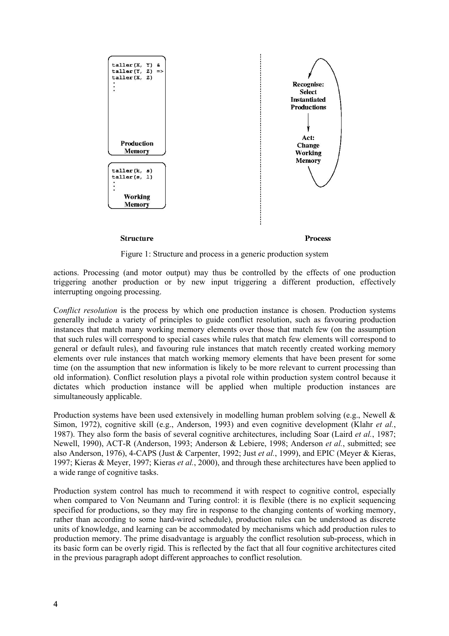

#### **Structure**

**Process** 

Figure 1: Structure and process in a generic production system

actions. Processing (and motor output) may thus be controlled by the effects of one production triggering another production or by new input triggering a different production, effectively interrupting ongoing processing.

C*onflict resolution* is the process by which one production instance is chosen. Production systems generally include a variety of principles to guide conflict resolution, such as favouring production instances that match many working memory elements over those that match few (on the assumption that such rules will correspond to special cases while rules that match few elements will correspond to general or default rules), and favouring rule instances that match recently created working memory elements over rule instances that match working memory elements that have been present for some time (on the assumption that new information is likely to be more relevant to current processing than old information). Conflict resolution plays a pivotal role within production system control because it dictates which production instance will be applied when multiple production instances are simultaneously applicable.

Production systems have been used extensively in modelling human problem solving (e.g., Newell  $\&$ Simon, 1972), cognitive skill (e.g., Anderson, 1993) and even cognitive development (Klahr *et al.*, 1987). They also form the basis of several cognitive architectures, including Soar (Laird *et al.*, 1987; Newell, 1990), ACT-R (Anderson, 1993; Anderson & Lebiere, 1998; Anderson *et al.*, submitted; see also Anderson, 1976), 4-CAPS (Just & Carpenter, 1992; Just *et al.*, 1999), and EPIC (Meyer & Kieras, 1997; Kieras & Meyer, 1997; Kieras *et al.*, 2000), and through these architectures have been applied to a wide range of cognitive tasks.

Production system control has much to recommend it with respect to cognitive control, especially when compared to Von Neumann and Turing control: it is flexible (there is no explicit sequencing specified for productions, so they may fire in response to the changing contents of working memory, rather than according to some hard-wired schedule), production rules can be understood as discrete units of knowledge, and learning can be accommodated by mechanisms which add production rules to production memory. The prime disadvantage is arguably the conflict resolution sub-process, which in its basic form can be overly rigid. This is reflected by the fact that all four cognitive architectures cited in the previous paragraph adopt different approaches to conflict resolution.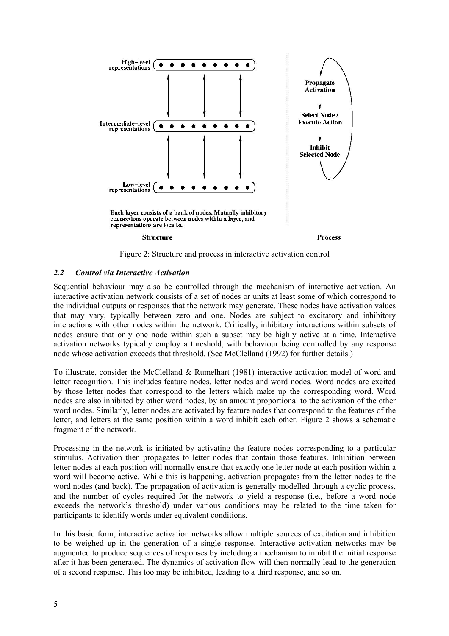

Figure 2: Structure and process in interactive activation control

#### *2.2 Control via Interactive Activation*

Sequential behaviour may also be controlled through the mechanism of interactive activation. An interactive activation network consists of a set of nodes or units at least some of which correspond to the individual outputs or responses that the network may generate. These nodes have activation values that may vary, typically between zero and one. Nodes are subject to excitatory and inhibitory interactions with other nodes within the network. Critically, inhibitory interactions within subsets of nodes ensure that only one node within such a subset may be highly active at a time. Interactive activation networks typically employ a threshold, with behaviour being controlled by any response node whose activation exceeds that threshold. (See McClelland (1992) for further details.)

To illustrate, consider the McClelland & Rumelhart (1981) interactive activation model of word and letter recognition. This includes feature nodes, letter nodes and word nodes. Word nodes are excited by those letter nodes that correspond to the letters which make up the corresponding word. Word nodes are also inhibited by other word nodes, by an amount proportional to the activation of the other word nodes. Similarly, letter nodes are activated by feature nodes that correspond to the features of the letter, and letters at the same position within a word inhibit each other. Figure 2 shows a schematic fragment of the network.

Processing in the network is initiated by activating the feature nodes corresponding to a particular stimulus. Activation then propagates to letter nodes that contain those features. Inhibition between letter nodes at each position will normally ensure that exactly one letter node at each position within a word will become active. While this is happening, activation propagates from the letter nodes to the word nodes (and back). The propagation of activation is generally modelled through a cyclic process, and the number of cycles required for the network to yield a response (i.e., before a word node exceeds the network's threshold) under various conditions may be related to the time taken for participants to identify words under equivalent conditions.

In this basic form, interactive activation networks allow multiple sources of excitation and inhibition to be weighed up in the generation of a single response. Interactive activation networks may be augmented to produce sequences of responses by including a mechanism to inhibit the initial response after it has been generated. The dynamics of activation flow will then normally lead to the generation of a second response. This too may be inhibited, leading to a third response, and so on.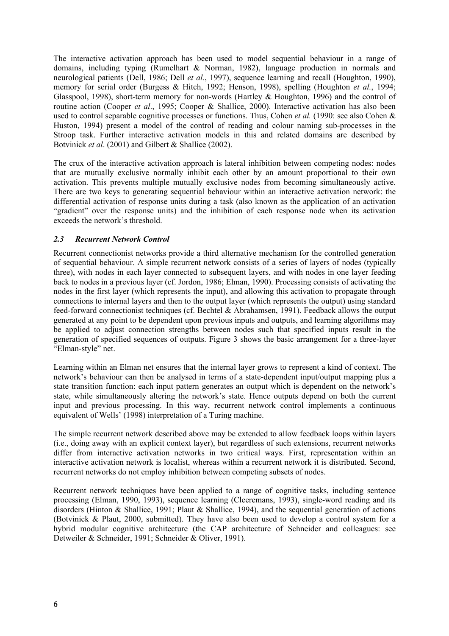The interactive activation approach has been used to model sequential behaviour in a range of domains, including typing (Rumelhart & Norman, 1982), language production in normals and neurological patients (Dell, 1986; Dell *et al.*, 1997), sequence learning and recall (Houghton, 1990), memory for serial order (Burgess & Hitch, 1992; Henson, 1998), spelling (Houghton *et al.*, 1994; Glasspool, 1998), short-term memory for non-words (Hartley & Houghton, 1996) and the control of routine action (Cooper *et al*., 1995; Cooper & Shallice, 2000). Interactive activation has also been used to control separable cognitive processes or functions. Thus, Cohen *et al.* (1990: see also Cohen & Huston, 1994) present a model of the control of reading and colour naming sub-processes in the Stroop task. Further interactive activation models in this and related domains are described by Botvinick *et al*. (2001) and Gilbert & Shallice (2002).

The crux of the interactive activation approach is lateral inhibition between competing nodes: nodes that are mutually exclusive normally inhibit each other by an amount proportional to their own activation. This prevents multiple mutually exclusive nodes from becoming simultaneously active. There are two keys to generating sequential behaviour within an interactive activation network: the differential activation of response units during a task (also known as the application of an activation "gradient" over the response units) and the inhibition of each response node when its activation exceeds the network's threshold.

## *2.3 Recurrent Network Control*

Recurrent connectionist networks provide a third alternative mechanism for the controlled generation of sequential behaviour. A simple recurrent network consists of a series of layers of nodes (typically three), with nodes in each layer connected to subsequent layers, and with nodes in one layer feeding back to nodes in a previous layer (cf. Jordon, 1986; Elman, 1990). Processing consists of activating the nodes in the first layer (which represents the input), and allowing this activation to propagate through connections to internal layers and then to the output layer (which represents the output) using standard feed-forward connectionist techniques (cf. Bechtel & Abrahamsen, 1991). Feedback allows the output generated at any point to be dependent upon previous inputs and outputs, and learning algorithms may be applied to adjust connection strengths between nodes such that specified inputs result in the generation of specified sequences of outputs. Figure 3 shows the basic arrangement for a three-layer "Elman-style" net.

Learning within an Elman net ensures that the internal layer grows to represent a kind of context. The network's behaviour can then be analysed in terms of a state-dependent input/output mapping plus a state transition function: each input pattern generates an output which is dependent on the network's state, while simultaneously altering the network's state. Hence outputs depend on both the current input and previous processing. In this way, recurrent network control implements a continuous equivalent of Wells' (1998) interpretation of a Turing machine.

The simple recurrent network described above may be extended to allow feedback loops within layers (i.e., doing away with an explicit context layer), but regardless of such extensions, recurrent networks differ from interactive activation networks in two critical ways. First, representation within an interactive activation network is localist, whereas within a recurrent network it is distributed. Second, recurrent networks do not employ inhibition between competing subsets of nodes.

Recurrent network techniques have been applied to a range of cognitive tasks, including sentence processing (Elman, 1990, 1993), sequence learning (Cleeremans, 1993), single-word reading and its disorders (Hinton & Shallice, 1991; Plaut & Shallice, 1994), and the sequential generation of actions (Botvinick & Plaut, 2000, submitted). They have also been used to develop a control system for a hybrid modular cognitive architecture (the CAP architecture of Schneider and colleagues: see Detweiler & Schneider, 1991; Schneider & Oliver, 1991).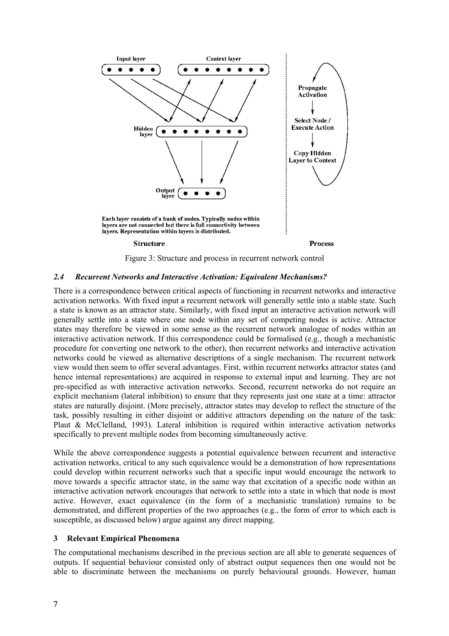

Figure 3: Structure and process in recurrent network control

#### *2.4 Recurrent Networks and Interactive Activation: Equivalent Mechanisms?*

There is a correspondence between critical aspects of functioning in recurrent networks and interactive activation networks. With fixed input a recurrent network will generally settle into a stable state. Such a state is known as an attractor state. Similarly, with fixed input an interactive activation network will generally settle into a state where one node within any set of competing nodes is active. Attractor states may therefore be viewed in some sense as the recurrent network analogue of nodes within an interactive activation network. If this correspondence could be formalised (e.g., though a mechanistic procedure for converting one network to the other), then recurrent networks and interactive activation networks could be viewed as alternative descriptions of a single mechanism. The recurrent network view would then seem to offer several advantages. First, within recurrent networks attractor states (and hence internal representations) are acquired in response to external input and learning. They are not pre-specified as with interactive activation networks. Second, recurrent networks do not require an explicit mechanism (lateral inhibition) to ensure that they represents just one state at a time: attractor states are naturally disjoint. (More precisely, attractor states may develop to reflect the structure of the task, possibly resulting in either disjoint or additive attractors depending on the nature of the task: Plaut & McClelland, 1993). Lateral inhibition is required within interactive activation networks specifically to prevent multiple nodes from becoming simultaneously active.

While the above correspondence suggests a potential equivalence between recurrent and interactive activation networks, critical to any such equivalence would be a demonstration of how representations could develop within recurrent networks such that a specific input would encourage the network to move towards a specific attractor state, in the same way that excitation of a specific node within an interactive activation network encourages that network to settle into a state in which that node is most active. However, exact equivalence (in the form of a mechanistic translation) remains to be demonstrated, and different properties of the two approaches (e.g., the form of error to which each is susceptible, as discussed below) argue against any direct mapping.

#### **3 Relevant Empirical Phenomena**

The computational mechanisms described in the previous section are all able to generate sequences of outputs. If sequential behaviour consisted only of abstract output sequences then one would not be able to discriminate between the mechanisms on purely behavioural grounds. However, human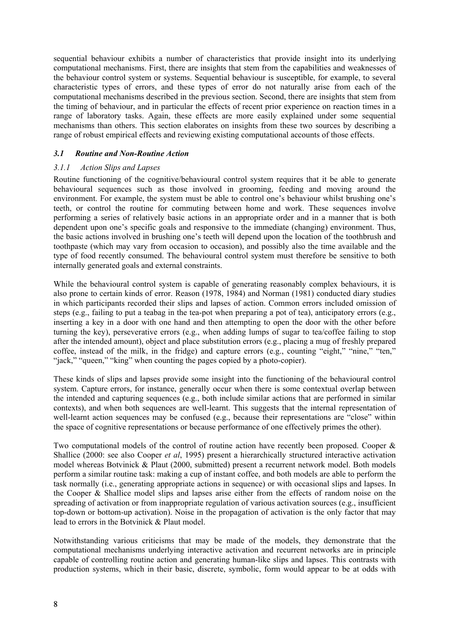sequential behaviour exhibits a number of characteristics that provide insight into its underlying computational mechanisms. First, there are insights that stem from the capabilities and weaknesses of the behaviour control system or systems. Sequential behaviour is susceptible, for example, to several characteristic types of errors, and these types of error do not naturally arise from each of the computational mechanisms described in the previous section. Second, there are insights that stem from the timing of behaviour, and in particular the effects of recent prior experience on reaction times in a range of laboratory tasks. Again, these effects are more easily explained under some sequential mechanisms than others. This section elaborates on insights from these two sources by describing a range of robust empirical effects and reviewing existing computational accounts of those effects.

## *3.1 Routine and Non-Routine Action*

#### *3.1.1 Action Slips and Lapses*

Routine functioning of the cognitive/behavioural control system requires that it be able to generate behavioural sequences such as those involved in grooming, feeding and moving around the environment. For example, the system must be able to control one's behaviour whilst brushing one's teeth, or control the routine for commuting between home and work. These sequences involve performing a series of relatively basic actions in an appropriate order and in a manner that is both dependent upon one's specific goals and responsive to the immediate (changing) environment. Thus, the basic actions involved in brushing one's teeth will depend upon the location of the toothbrush and toothpaste (which may vary from occasion to occasion), and possibly also the time available and the type of food recently consumed. The behavioural control system must therefore be sensitive to both internally generated goals and external constraints.

While the behavioural control system is capable of generating reasonably complex behaviours, it is also prone to certain kinds of error. Reason (1978, 1984) and Norman (1981) conducted diary studies in which participants recorded their slips and lapses of action. Common errors included omission of steps (e.g., failing to put a teabag in the tea-pot when preparing a pot of tea), anticipatory errors (e.g., inserting a key in a door with one hand and then attempting to open the door with the other before turning the key), perseverative errors (e.g., when adding lumps of sugar to tea/coffee failing to stop after the intended amount), object and place substitution errors (e.g., placing a mug of freshly prepared coffee, instead of the milk, in the fridge) and capture errors (e.g., counting "eight," "nine," "ten," "jack," "queen," "king" when counting the pages copied by a photo-copier).

These kinds of slips and lapses provide some insight into the functioning of the behavioural control system. Capture errors, for instance, generally occur when there is some contextual overlap between the intended and capturing sequences (e.g., both include similar actions that are performed in similar contexts), and when both sequences are well-learnt. This suggests that the internal representation of well-learnt action sequences may be confused (e.g., because their representations are "close" within the space of cognitive representations or because performance of one effectively primes the other).

Two computational models of the control of routine action have recently been proposed. Cooper & Shallice (2000: see also Cooper *et al*, 1995) present a hierarchically structured interactive activation model whereas Botvinick & Plaut (2000, submitted) present a recurrent network model. Both models perform a similar routine task: making a cup of instant coffee, and both models are able to perform the task normally (i.e., generating appropriate actions in sequence) or with occasional slips and lapses. In the Cooper & Shallice model slips and lapses arise either from the effects of random noise on the spreading of activation or from inappropriate regulation of various activation sources (e.g., insufficient top-down or bottom-up activation). Noise in the propagation of activation is the only factor that may lead to errors in the Botvinick & Plaut model.

Notwithstanding various criticisms that may be made of the models, they demonstrate that the computational mechanisms underlying interactive activation and recurrent networks are in principle capable of controlling routine action and generating human-like slips and lapses. This contrasts with production systems, which in their basic, discrete, symbolic, form would appear to be at odds with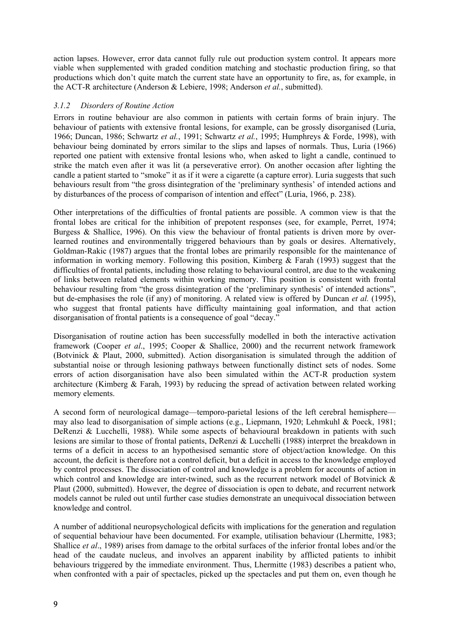action lapses. However, error data cannot fully rule out production system control. It appears more viable when supplemented with graded condition matching and stochastic production firing, so that productions which don't quite match the current state have an opportunity to fire, as, for example, in the ACT-R architecture (Anderson & Lebiere, 1998; Anderson *et al.*, submitted).

#### *3.1.2 Disorders of Routine Action*

Errors in routine behaviour are also common in patients with certain forms of brain injury. The behaviour of patients with extensive frontal lesions, for example, can be grossly disorganised (Luria, 1966; Duncan, 1986; Schwartz *et al.*, 1991; Schwartz *et al.*, 1995; Humphreys & Forde, 1998), with behaviour being dominated by errors similar to the slips and lapses of normals. Thus, Luria (1966) reported one patient with extensive frontal lesions who, when asked to light a candle, continued to strike the match even after it was lit (a perseverative error). On another occasion after lighting the candle a patient started to "smoke" it as if it were a cigarette (a capture error). Luria suggests that such behaviours result from "the gross disintegration of the 'preliminary synthesis' of intended actions and by disturbances of the process of comparison of intention and effect" (Luria, 1966, p. 238).

Other interpretations of the difficulties of frontal patients are possible. A common view is that the frontal lobes are critical for the inhibition of prepotent responses (see, for example, Perret, 1974; Burgess & Shallice, 1996). On this view the behaviour of frontal patients is driven more by overlearned routines and environmentally triggered behaviours than by goals or desires. Alternatively, Goldman-Rakic (1987) argues that the frontal lobes are primarily responsible for the maintenance of information in working memory. Following this position, Kimberg & Farah (1993) suggest that the difficulties of frontal patients, including those relating to behavioural control, are due to the weakening of links between related elements within working memory. This position is consistent with frontal behaviour resulting from "the gross disintegration of the 'preliminary synthesis' of intended actions", but de-emphasises the role (if any) of monitoring. A related view is offered by Duncan *et al.* (1995), who suggest that frontal patients have difficulty maintaining goal information, and that action disorganisation of frontal patients is a consequence of goal "decay."

Disorganisation of routine action has been successfully modelled in both the interactive activation framework (Cooper *et al*., 1995; Cooper & Shallice, 2000) and the recurrent network framework (Botvinick & Plaut, 2000, submitted). Action disorganisation is simulated through the addition of substantial noise or through lesioning pathways between functionally distinct sets of nodes. Some errors of action disorganisation have also been simulated within the ACT-R production system architecture (Kimberg & Farah, 1993) by reducing the spread of activation between related working memory elements.

A second form of neurological damage—temporo-parietal lesions of the left cerebral hemisphere may also lead to disorganisation of simple actions (e.g., Liepmann, 1920; Lehmkuhl & Poeck, 1981; DeRenzi & Lucchelli, 1988). While some aspects of behavioural breakdown in patients with such lesions are similar to those of frontal patients, DeRenzi & Lucchelli (1988) interpret the breakdown in terms of a deficit in access to an hypothesised semantic store of object/action knowledge. On this account, the deficit is therefore not a control deficit, but a deficit in access to the knowledge employed by control processes. The dissociation of control and knowledge is a problem for accounts of action in which control and knowledge are inter-twined, such as the recurrent network model of Botvinick  $\&$ Plaut (2000, submitted). However, the degree of dissociation is open to debate, and recurrent network models cannot be ruled out until further case studies demonstrate an unequivocal dissociation between knowledge and control.

A number of additional neuropsychological deficits with implications for the generation and regulation of sequential behaviour have been documented. For example, utilisation behaviour (Lhermitte, 1983; Shallice *et al*., 1989) arises from damage to the orbital surfaces of the inferior frontal lobes and/or the head of the caudate nucleus, and involves an apparent inability by afflicted patients to inhibit behaviours triggered by the immediate environment. Thus, Lhermitte (1983) describes a patient who, when confronted with a pair of spectacles, picked up the spectacles and put them on, even though he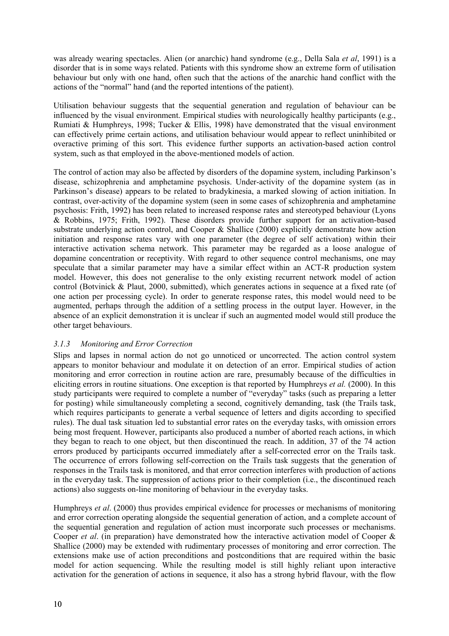was already wearing spectacles. Alien (or anarchic) hand syndrome (e.g., Della Sala *et al*, 1991) is a disorder that is in some ways related. Patients with this syndrome show an extreme form of utilisation behaviour but only with one hand, often such that the actions of the anarchic hand conflict with the actions of the "normal" hand (and the reported intentions of the patient).

Utilisation behaviour suggests that the sequential generation and regulation of behaviour can be influenced by the visual environment. Empirical studies with neurologically healthy participants (e.g., Rumiati & Humphreys, 1998; Tucker & Ellis, 1998) have demonstrated that the visual environment can effectively prime certain actions, and utilisation behaviour would appear to reflect uninhibited or overactive priming of this sort. This evidence further supports an activation-based action control system, such as that employed in the above-mentioned models of action.

The control of action may also be affected by disorders of the dopamine system, including Parkinson's disease, schizophrenia and amphetamine psychosis. Under-activity of the dopamine system (as in Parkinson's disease) appears to be related to bradykinesia, a marked slowing of action initiation. In contrast, over-activity of the dopamine system (seen in some cases of schizophrenia and amphetamine psychosis: Frith, 1992) has been related to increased response rates and stereotyped behaviour (Lyons & Robbins, 1975; Frith, 1992). These disorders provide further support for an activation-based substrate underlying action control, and Cooper & Shallice (2000) explicitly demonstrate how action initiation and response rates vary with one parameter (the degree of self activation) within their interactive activation schema network. This parameter may be regarded as a loose analogue of dopamine concentration or receptivity. With regard to other sequence control mechanisms, one may speculate that a similar parameter may have a similar effect within an ACT-R production system model. However, this does not generalise to the only existing recurrent network model of action control (Botvinick & Plaut, 2000, submitted), which generates actions in sequence at a fixed rate (of one action per processing cycle). In order to generate response rates, this model would need to be augmented, perhaps through the addition of a settling process in the output layer. However, in the absence of an explicit demonstration it is unclear if such an augmented model would still produce the other target behaviours.

## *3.1.3 Monitoring and Error Correction*

Slips and lapses in normal action do not go unnoticed or uncorrected. The action control system appears to monitor behaviour and modulate it on detection of an error. Empirical studies of action monitoring and error correction in routine action are rare, presumably because of the difficulties in eliciting errors in routine situations. One exception is that reported by Humphreys *et al.* (2000). In this study participants were required to complete a number of "everyday" tasks (such as preparing a letter for posting) while simultaneously completing a second, cognitively demanding, task (the Trails task, which requires participants to generate a verbal sequence of letters and digits according to specified rules). The dual task situation led to substantial error rates on the everyday tasks, with omission errors being most frequent. However, participants also produced a number of aborted reach actions, in which they began to reach to one object, but then discontinued the reach. In addition, 37 of the 74 action errors produced by participants occurred immediately after a self-corrected error on the Trails task. The occurrence of errors following self-correction on the Trails task suggests that the generation of responses in the Trails task is monitored, and that error correction interferes with production of actions in the everyday task. The suppression of actions prior to their completion (i.e., the discontinued reach actions) also suggests on-line monitoring of behaviour in the everyday tasks.

Humphreys *et al*. (2000) thus provides empirical evidence for processes or mechanisms of monitoring and error correction operating alongside the sequential generation of action, and a complete account of the sequential generation and regulation of action must incorporate such processes or mechanisms. Cooper *et al*. (in preparation) have demonstrated how the interactive activation model of Cooper & Shallice (2000) may be extended with rudimentary processes of monitoring and error correction. The extensions make use of action preconditions and postconditions that are required within the basic model for action sequencing. While the resulting model is still highly reliant upon interactive activation for the generation of actions in sequence, it also has a strong hybrid flavour, with the flow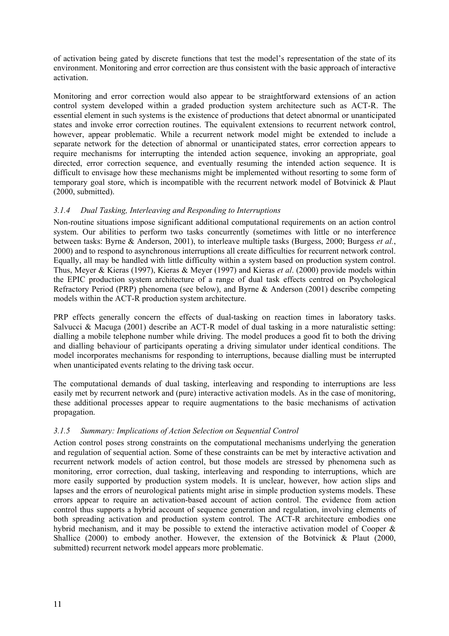of activation being gated by discrete functions that test the model's representation of the state of its environment. Monitoring and error correction are thus consistent with the basic approach of interactive activation.

Monitoring and error correction would also appear to be straightforward extensions of an action control system developed within a graded production system architecture such as ACT-R. The essential element in such systems is the existence of productions that detect abnormal or unanticipated states and invoke error correction routines. The equivalent extensions to recurrent network control, however, appear problematic. While a recurrent network model might be extended to include a separate network for the detection of abnormal or unanticipated states, error correction appears to require mechanisms for interrupting the intended action sequence, invoking an appropriate, goal directed, error correction sequence, and eventually resuming the intended action sequence. It is difficult to envisage how these mechanisms might be implemented without resorting to some form of temporary goal store, which is incompatible with the recurrent network model of Botvinick & Plaut (2000, submitted).

## *3.1.4 Dual Tasking, Interleaving and Responding to Interruptions*

Non-routine situations impose significant additional computational requirements on an action control system. Our abilities to perform two tasks concurrently (sometimes with little or no interference between tasks: Byrne & Anderson, 2001), to interleave multiple tasks (Burgess, 2000; Burgess *et al.*, 2000) and to respond to asynchronous interruptions all create difficulties for recurrent network control. Equally, all may be handled with little difficulty within a system based on production system control. Thus, Meyer & Kieras (1997), Kieras & Meyer (1997) and Kieras *et al*. (2000) provide models within the EPIC production system architecture of a range of dual task effects centred on Psychological Refractory Period (PRP) phenomena (see below), and Byrne & Anderson (2001) describe competing models within the ACT-R production system architecture.

PRP effects generally concern the effects of dual-tasking on reaction times in laboratory tasks. Salvucci & Macuga (2001) describe an ACT-R model of dual tasking in a more naturalistic setting: dialling a mobile telephone number while driving. The model produces a good fit to both the driving and dialling behaviour of participants operating a driving simulator under identical conditions. The model incorporates mechanisms for responding to interruptions, because dialling must be interrupted when unanticipated events relating to the driving task occur.

The computational demands of dual tasking, interleaving and responding to interruptions are less easily met by recurrent network and (pure) interactive activation models. As in the case of monitoring, these additional processes appear to require augmentations to the basic mechanisms of activation propagation.

## *3.1.5 Summary: Implications of Action Selection on Sequential Control*

Action control poses strong constraints on the computational mechanisms underlying the generation and regulation of sequential action. Some of these constraints can be met by interactive activation and recurrent network models of action control, but those models are stressed by phenomena such as monitoring, error correction, dual tasking, interleaving and responding to interruptions, which are more easily supported by production system models. It is unclear, however, how action slips and lapses and the errors of neurological patients might arise in simple production systems models. These errors appear to require an activation-based account of action control. The evidence from action control thus supports a hybrid account of sequence generation and regulation, involving elements of both spreading activation and production system control. The ACT-R architecture embodies one hybrid mechanism, and it may be possible to extend the interactive activation model of Cooper & Shallice (2000) to embody another. However, the extension of the Botvinick & Plaut (2000, submitted) recurrent network model appears more problematic.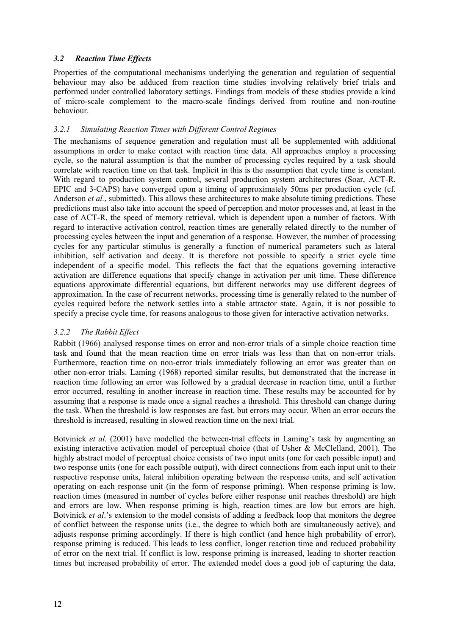## *3.2 Reaction Time Effects*

Properties of the computational mechanisms underlying the generation and regulation of sequential behaviour may also be adduced from reaction time studies involving relatively brief trials and performed under controlled laboratory settings. Findings from models of these studies provide a kind of micro-scale complement to the macro-scale findings derived from routine and non-routine behaviour.

## *3.2.1 Simulating Reaction Times with Different Control Regimes*

The mechanisms of sequence generation and regulation must all be supplemented with additional assumptions in order to make contact with reaction time data. All approaches employ a processing cycle, so the natural assumption is that the number of processing cycles required by a task should correlate with reaction time on that task. Implicit in this is the assumption that cycle time is constant. With regard to production system control, several production system architectures (Soar, ACT-R, EPIC and 3-CAPS) have converged upon a timing of approximately 50ms per production cycle (cf. Anderson *et al.*, submitted). This allows these architectures to make absolute timing predictions. These predictions must also take into account the speed of perception and motor processes and, at least in the case of ACT-R, the speed of memory retrieval, which is dependent upon a number of factors. With regard to interactive activation control, reaction times are generally related directly to the number of processing cycles between the input and generation of a response. However, the number of processing cycles for any particular stimulus is generally a function of numerical parameters such as lateral inhibition, self activation and decay. It is therefore not possible to specify a strict cycle time independent of a specific model. This reflects the fact that the equations governing interactive activation are difference equations that specify change in activation per unit time. These difference equations approximate differential equations, but different networks may use different degrees of approximation. In the case of recurrent networks, processing time is generally related to the number of cycles required before the network settles into a stable attractor state. Again, it is not possible to specify a precise cycle time, for reasons analogous to those given for interactive activation networks.

## *3.2.2 The Rabbit Effect*

Rabbit (1966) analysed response times on error and non-error trials of a simple choice reaction time task and found that the mean reaction time on error trials was less than that on non-error trials. Furthermore, reaction time on non-error trials immediately following an error was greater than on other non-error trials. Laming (1968) reported similar results, but demonstrated that the increase in reaction time following an error was followed by a gradual decrease in reaction time, until a further error occurred, resulting in another increase in reaction time. These results may be accounted for by assuming that a response is made once a signal reaches a threshold. This threshold can change during the task. When the threshold is low responses are fast, but errors may occur. When an error occurs the threshold is increased, resulting in slowed reaction time on the next trial.

Botvinick *et al.* (2001) have modelled the between-trial effects in Laming's task by augmenting an existing interactive activation model of perceptual choice (that of Usher & McClelland, 2001). The highly abstract model of perceptual choice consists of two input units (one for each possible input) and two response units (one for each possible output), with direct connections from each input unit to their respective response units, lateral inhibition operating between the response units, and self activation operating on each response unit (in the form of response priming). When response priming is low, reaction times (measured in number of cycles before either response unit reaches threshold) are high and errors are low. When response priming is high, reaction times are low but errors are high. Botvinick *et al*.'s extension to the model consists of adding a feedback loop that monitors the degree of conflict between the response units (i.e., the degree to which both are simultaneously active), and adjusts response priming accordingly. If there is high conflict (and hence high probability of error), response priming is reduced. This leads to less conflict, longer reaction time and reduced probability of error on the next trial. If conflict is low, response priming is increased, leading to shorter reaction times but increased probability of error. The extended model does a good job of capturing the data,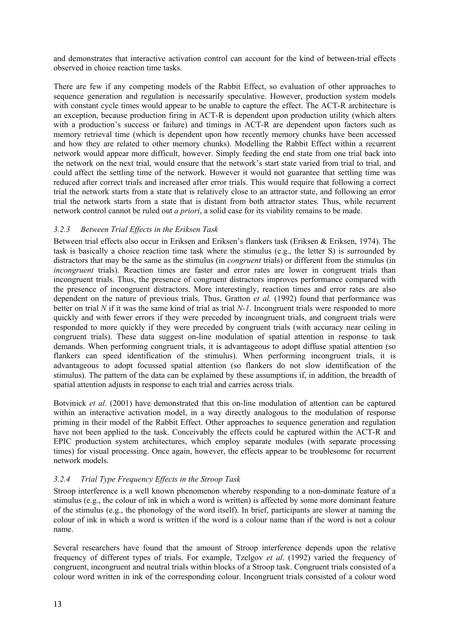and demonstrates that interactive activation control can account for the kind of between-trial effects observed in choice reaction time tasks.

There are few if any competing models of the Rabbit Effect, so evaluation of other approaches to sequence generation and regulation is necessarily speculative. However, production system models with constant cycle times would appear to be unable to capture the effect. The ACT-R architecture is an exception, because production firing in ACT-R is dependent upon production utility (which alters with a production's success or failure) and timings in ACT-R are dependent upon factors such as memory retrieval time (which is dependent upon how recently memory chunks have been accessed and how they are related to other memory chunks). Modelling the Rabbit Effect within a recurrent network would appear more difficult, however. Simply feeding the end state from one trial back into the network on the next trial, would ensure that the network's start state varied from trial to trial, and could affect the settling time of the network. However it would not guarantee that settling time was reduced after correct trials and increased after error trials. This would require that following a correct trial the network starts from a state that is relatively close to an attractor state, and following an error trial the network starts from a state that is distant from both attractor states. Thus, while recurrent network control cannot be ruled out *a priori*, a solid case for its viability remains to be made.

## *3.2.3 Between Trial Effects in the Eriksen Task*

Between trial effects also occur in Eriksen and Eriksen's flankers task (Eriksen & Eriksen, 1974). The task is basically a choice reaction time task where the stimulus (e.g., the letter S) is surrounded by distractors that may be the same as the stimulus (in *congruent* trials) or different from the stimulus (in *incongruent* trials). Reaction times are faster and error rates are lower in congruent trials than incongruent trials. Thus, the presence of congruent distractors improves performance compared with the presence of incongruent distractors. More interestingly, reaction times and error rates are also dependent on the nature of previous trials. Thus, Gratton *et al.* (1992) found that performance was better on trial *N* if it was the same kind of trial as trial *N-1*. Incongruent trials were responded to more quickly and with fewer errors if they were preceded by incongruent trials, and congruent trials were responded to more quickly if they were preceded by congruent trials (with accuracy near ceiling in congruent trials). These data suggest on-line modulation of spatial attention in response to task demands. When performing congruent trials, it is advantageous to adopt diffuse spatial attention (so flankers can speed identification of the stimulus). When performing incongruent trials, it is advantageous to adopt focussed spatial attention (so flankers do not slow identification of the stimulus). The pattern of the data can be explained by these assumptions if, in addition, the breadth of spatial attention adjusts in response to each trial and carries across trials.

Botvinick *et al*. (2001) have demonstrated that this on-line modulation of attention can be captured within an interactive activation model, in a way directly analogous to the modulation of response priming in their model of the Rabbit Effect. Other approaches to sequence generation and regulation have not been applied to the task. Conceivably the effects could be captured within the ACT-R and EPIC production system architectures, which employ separate modules (with separate processing times) for visual processing. Once again, however, the effects appear to be troublesome for recurrent network models.

## *3.2.4 Trial Type Frequency Effects in the Stroop Task*

Stroop interference is a well known phenomenon whereby responding to a non-dominate feature of a stimulus (e.g., the colour of ink in which a word is written) is affected by some more dominant feature of the stimulus (e.g., the phonology of the word itself). In brief, participants are slower at naming the colour of ink in which a word is written if the word is a colour name than if the word is not a colour name.

Several researchers have found that the amount of Stroop interference depends upon the relative frequency of different types of trials. For example, Tzelgov *et al*. (1992) varied the frequency of congruent, incongruent and neutral trials within blocks of a Stroop task. Congruent trials consisted of a colour word written in ink of the corresponding colour. Incongruent trials consisted of a colour word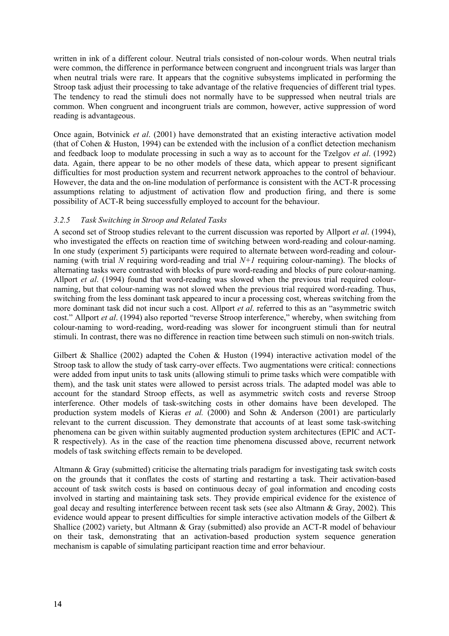written in ink of a different colour. Neutral trials consisted of non-colour words. When neutral trials were common, the difference in performance between congruent and incongruent trials was larger than when neutral trials were rare. It appears that the cognitive subsystems implicated in performing the Stroop task adjust their processing to take advantage of the relative frequencies of different trial types. The tendency to read the stimuli does not normally have to be suppressed when neutral trials are common. When congruent and incongruent trials are common, however, active suppression of word reading is advantageous.

Once again, Botvinick *et al*. (2001) have demonstrated that an existing interactive activation model (that of Cohen & Huston, 1994) can be extended with the inclusion of a conflict detection mechanism and feedback loop to modulate processing in such a way as to account for the Tzelgov *et al*. (1992) data. Again, there appear to be no other models of these data, which appear to present significant difficulties for most production system and recurrent network approaches to the control of behaviour. However, the data and the on-line modulation of performance is consistent with the ACT-R processing assumptions relating to adjustment of activation flow and production firing, and there is some possibility of ACT-R being successfully employed to account for the behaviour.

## *3.2.5 Task Switching in Stroop and Related Tasks*

A second set of Stroop studies relevant to the current discussion was reported by Allport *et al*. (1994), who investigated the effects on reaction time of switching between word-reading and colour-naming. In one study (experiment 5) participants were required to alternate between word-reading and colournaming (with trial *N* requiring word-reading and trial *N+1* requiring colour-naming). The blocks of alternating tasks were contrasted with blocks of pure word-reading and blocks of pure colour-naming. Allport *et al*. (1994) found that word-reading was slowed when the previous trial required colournaming, but that colour-naming was not slowed when the previous trial required word-reading. Thus, switching from the less dominant task appeared to incur a processing cost, whereas switching from the more dominant task did not incur such a cost. Allport *et al*. referred to this as an "asymmetric switch cost." Allport *et al*. (1994) also reported "reverse Stroop interference," whereby, when switching from colour-naming to word-reading, word-reading was slower for incongruent stimuli than for neutral stimuli. In contrast, there was no difference in reaction time between such stimuli on non-switch trials.

Gilbert & Shallice (2002) adapted the Cohen & Huston (1994) interactive activation model of the Stroop task to allow the study of task carry-over effects. Two augmentations were critical: connections were added from input units to task units (allowing stimuli to prime tasks which were compatible with them), and the task unit states were allowed to persist across trials. The adapted model was able to account for the standard Stroop effects, as well as asymmetric switch costs and reverse Stroop interference. Other models of task-switching costs in other domains have been developed. The production system models of Kieras *et al.* (2000) and Sohn & Anderson (2001) are particularly relevant to the current discussion. They demonstrate that accounts of at least some task-switching phenomena can be given within suitably augmented production system architectures (EPIC and ACT-R respectively). As in the case of the reaction time phenomena discussed above, recurrent network models of task switching effects remain to be developed.

Altmann & Gray (submitted) criticise the alternating trials paradigm for investigating task switch costs on the grounds that it conflates the costs of starting and restarting a task. Their activation-based account of task switch costs is based on continuous decay of goal information and encoding costs involved in starting and maintaining task sets. They provide empirical evidence for the existence of goal decay and resulting interference between recent task sets (see also Altmann & Gray, 2002). This evidence would appear to present difficulties for simple interactive activation models of the Gilbert & Shallice (2002) variety, but Altmann & Gray (submitted) also provide an ACT-R model of behaviour on their task, demonstrating that an activation-based production system sequence generation mechanism is capable of simulating participant reaction time and error behaviour.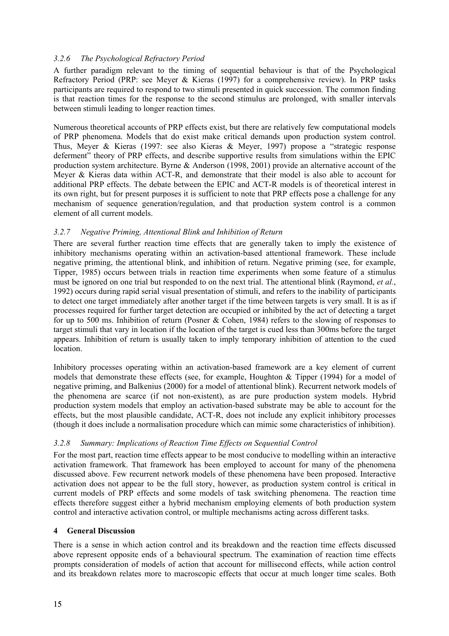## *3.2.6 The Psychological Refractory Period*

A further paradigm relevant to the timing of sequential behaviour is that of the Psychological Refractory Period (PRP: see Meyer & Kieras (1997) for a comprehensive review). In PRP tasks participants are required to respond to two stimuli presented in quick succession. The common finding is that reaction times for the response to the second stimulus are prolonged, with smaller intervals between stimuli leading to longer reaction times.

Numerous theoretical accounts of PRP effects exist, but there are relatively few computational models of PRP phenomena. Models that do exist make critical demands upon production system control. Thus, Meyer & Kieras (1997: see also Kieras & Meyer, 1997) propose a "strategic response deferment" theory of PRP effects, and describe supportive results from simulations within the EPIC production system architecture. Byrne & Anderson (1998, 2001) provide an alternative account of the Meyer & Kieras data within ACT-R, and demonstrate that their model is also able to account for additional PRP effects. The debate between the EPIC and ACT-R models is of theoretical interest in its own right, but for present purposes it is sufficient to note that PRP effects pose a challenge for any mechanism of sequence generation/regulation, and that production system control is a common element of all current models.

## *3.2.7 Negative Priming, Attentional Blink and Inhibition of Return*

There are several further reaction time effects that are generally taken to imply the existence of inhibitory mechanisms operating within an activation-based attentional framework. These include negative priming, the attentional blink, and inhibition of return. Negative priming (see, for example, Tipper, 1985) occurs between trials in reaction time experiments when some feature of a stimulus must be ignored on one trial but responded to on the next trial. The attentional blink (Raymond, *et al.*, 1992) occurs during rapid serial visual presentation of stimuli, and refers to the inability of participants to detect one target immediately after another target if the time between targets is very small. It is as if processes required for further target detection are occupied or inhibited by the act of detecting a target for up to 500 ms. Inhibition of return (Posner & Cohen, 1984) refers to the slowing of responses to target stimuli that vary in location if the location of the target is cued less than 300ms before the target appears. Inhibition of return is usually taken to imply temporary inhibition of attention to the cued location.

Inhibitory processes operating within an activation-based framework are a key element of current models that demonstrate these effects (see, for example, Houghton & Tipper (1994) for a model of negative priming, and Balkenius (2000) for a model of attentional blink). Recurrent network models of the phenomena are scarce (if not non-existent), as are pure production system models. Hybrid production system models that employ an activation-based substrate may be able to account for the effects, but the most plausible candidate, ACT-R, does not include any explicit inhibitory processes (though it does include a normalisation procedure which can mimic some characteristics of inhibition).

## *3.2.8 Summary: Implications of Reaction Time Effects on Sequential Control*

For the most part, reaction time effects appear to be most conducive to modelling within an interactive activation framework. That framework has been employed to account for many of the phenomena discussed above. Few recurrent network models of these phenomena have been proposed. Interactive activation does not appear to be the full story, however, as production system control is critical in current models of PRP effects and some models of task switching phenomena. The reaction time effects therefore suggest either a hybrid mechanism employing elements of both production system control and interactive activation control, or multiple mechanisms acting across different tasks.

## **4 General Discussion**

There is a sense in which action control and its breakdown and the reaction time effects discussed above represent opposite ends of a behavioural spectrum. The examination of reaction time effects prompts consideration of models of action that account for millisecond effects, while action control and its breakdown relates more to macroscopic effects that occur at much longer time scales. Both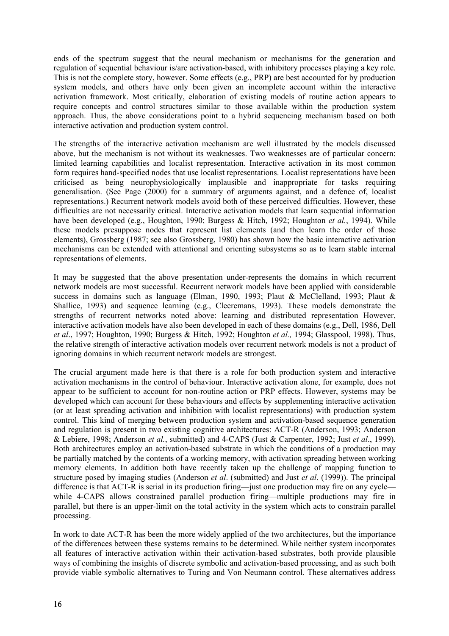ends of the spectrum suggest that the neural mechanism or mechanisms for the generation and regulation of sequential behaviour is/are activation-based, with inhibitory processes playing a key role. This is not the complete story, however. Some effects (e.g., PRP) are best accounted for by production system models, and others have only been given an incomplete account within the interactive activation framework. Most critically, elaboration of existing models of routine action appears to require concepts and control structures similar to those available within the production system approach. Thus, the above considerations point to a hybrid sequencing mechanism based on both interactive activation and production system control.

The strengths of the interactive activation mechanism are well illustrated by the models discussed above, but the mechanism is not without its weaknesses. Two weaknesses are of particular concern: limited learning capabilities and localist representation. Interactive activation in its most common form requires hand-specified nodes that use localist representations. Localist representations have been criticised as being neurophysiologically implausible and inappropriate for tasks requiring generalisation. (See Page (2000) for a summary of arguments against, and a defence of, localist representations.) Recurrent network models avoid both of these perceived difficulties. However, these difficulties are not necessarily critical. Interactive activation models that learn sequential information have been developed (e.g., Houghton, 1990; Burgess & Hitch, 1992; Houghton *et al.*, 1994). While these models presuppose nodes that represent list elements (and then learn the order of those elements), Grossberg (1987; see also Grossberg, 1980) has shown how the basic interactive activation mechanisms can be extended with attentional and orienting subsystems so as to learn stable internal representations of elements.

It may be suggested that the above presentation under-represents the domains in which recurrent network models are most successful. Recurrent network models have been applied with considerable success in domains such as language (Elman, 1990, 1993; Plaut & McClelland, 1993; Plaut & Shallice, 1993) and sequence learning (e.g., Cleeremans, 1993). These models demonstrate the strengths of recurrent networks noted above: learning and distributed representation However, interactive activation models have also been developed in each of these domains (e.g., Dell, 1986, Dell *et al*., 1997; Houghton, 1990; Burgess & Hitch, 1992; Houghton *et al.,* 1994; Glasspool, 1998). Thus, the relative strength of interactive activation models over recurrent network models is not a product of ignoring domains in which recurrent network models are strongest.

The crucial argument made here is that there is a role for both production system and interactive activation mechanisms in the control of behaviour. Interactive activation alone, for example, does not appear to be sufficient to account for non-routine action or PRP effects. However, systems may be developed which can account for these behaviours and effects by supplementing interactive activation (or at least spreading activation and inhibition with localist representations) with production system control. This kind of merging between production system and activation-based sequence generation and regulation is present in two existing cognitive architectures: ACT-R (Anderson, 1993; Anderson & Lebiere, 1998; Anderson *et al.*, submitted) and 4-CAPS (Just & Carpenter, 1992; Just *et al*., 1999). Both architectures employ an activation-based substrate in which the conditions of a production may be partially matched by the contents of a working memory, with activation spreading between working memory elements. In addition both have recently taken up the challenge of mapping function to structure posed by imaging studies (Anderson *et al*. (submitted) and Just *et al*. (1999)). The principal difference is that ACT-R is serial in its production firing—just one production may fire on any cycle while 4-CAPS allows constrained parallel production firing—multiple productions may fire in parallel, but there is an upper-limit on the total activity in the system which acts to constrain parallel processing.

In work to date ACT-R has been the more widely applied of the two architectures, but the importance of the differences between these systems remains to be determined. While neither system incorporates all features of interactive activation within their activation-based substrates, both provide plausible ways of combining the insights of discrete symbolic and activation-based processing, and as such both provide viable symbolic alternatives to Turing and Von Neumann control. These alternatives address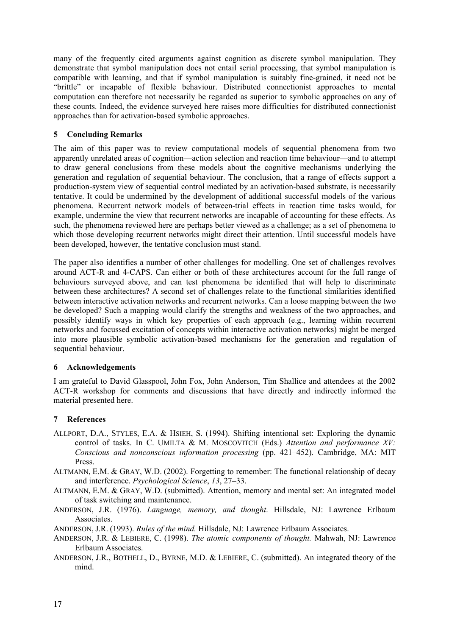many of the frequently cited arguments against cognition as discrete symbol manipulation. They demonstrate that symbol manipulation does not entail serial processing, that symbol manipulation is compatible with learning, and that if symbol manipulation is suitably fine-grained, it need not be "brittle" or incapable of flexible behaviour. Distributed connectionist approaches to mental computation can therefore not necessarily be regarded as superior to symbolic approaches on any of these counts. Indeed, the evidence surveyed here raises more difficulties for distributed connectionist approaches than for activation-based symbolic approaches.

#### **5 Concluding Remarks**

The aim of this paper was to review computational models of sequential phenomena from two apparently unrelated areas of cognition—action selection and reaction time behaviour—and to attempt to draw general conclusions from these models about the cognitive mechanisms underlying the generation and regulation of sequential behaviour. The conclusion, that a range of effects support a production-system view of sequential control mediated by an activation-based substrate, is necessarily tentative. It could be undermined by the development of additional successful models of the various phenomena. Recurrent network models of between-trial effects in reaction time tasks would, for example, undermine the view that recurrent networks are incapable of accounting for these effects. As such, the phenomena reviewed here are perhaps better viewed as a challenge; as a set of phenomena to which those developing recurrent networks might direct their attention. Until successful models have been developed, however, the tentative conclusion must stand.

The paper also identifies a number of other challenges for modelling. One set of challenges revolves around ACT-R and 4-CAPS. Can either or both of these architectures account for the full range of behaviours surveyed above, and can test phenomena be identified that will help to discriminate between these architectures? A second set of challenges relate to the functional similarities identified between interactive activation networks and recurrent networks. Can a loose mapping between the two be developed? Such a mapping would clarify the strengths and weakness of the two approaches, and possibly identify ways in which key properties of each approach (e.g., learning within recurrent networks and focussed excitation of concepts within interactive activation networks) might be merged into more plausible symbolic activation-based mechanisms for the generation and regulation of sequential behaviour.

#### **6 Acknowledgements**

I am grateful to David Glasspool, John Fox, John Anderson, Tim Shallice and attendees at the 2002 ACT-R workshop for comments and discussions that have directly and indirectly informed the material presented here.

#### **7 References**

- ALLPORT, D.A., STYLES, E.A. & HSIEH, S. (1994). Shifting intentional set: Exploring the dynamic control of tasks. In C. UMILTA & M. MOSCOVITCH (Eds.) *Attention and performance XV: Conscious and nonconscious information processing* (pp. 421–452). Cambridge, MA: MIT Press.
- ALTMANN, E.M. & GRAY, W.D. (2002). Forgetting to remember: The functional relationship of decay and interference. *Psychological Science*, *13*, 27–33.
- ALTMANN, E.M. & GRAY, W.D. (submitted). Attention, memory and mental set: An integrated model of task switching and maintenance.
- ANDERSON, J.R. (1976). *Language, memory, and thought*. Hillsdale, NJ: Lawrence Erlbaum Associates.

ANDERSON, J.R. (1993). *Rules of the mind.* Hillsdale, NJ: Lawrence Erlbaum Associates.

- ANDERSON, J.R. & LEBIERE, C. (1998). *The atomic components of thought.* Mahwah, NJ: Lawrence Erlbaum Associates.
- ANDERSON, J.R., BOTHELL, D., BYRNE, M.D. & LEBIERE, C. (submitted). An integrated theory of the mind.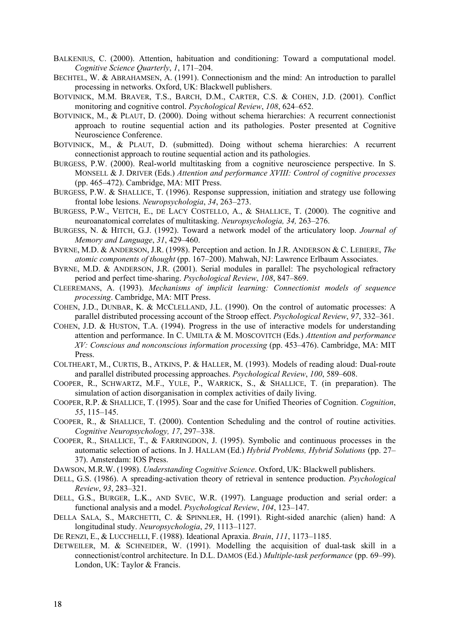- BALKENIUS, C. (2000). Attention, habituation and conditioning: Toward a computational model. *Cognitive Science Quarterly*, *1*, 171–204.
- BECHTEL, W. & ABRAHAMSEN, A. (1991). Connectionism and the mind: An introduction to parallel processing in networks. Oxford, UK: Blackwell publishers.
- BOTVINICK, M.M. BRAVER, T.S., BARCH, D.M., CARTER, C.S. & COHEN, J.D. (2001). Conflict monitoring and cognitive control. *Psychological Review*, *108*, 624–652.
- BOTVINICK, M., & PLAUT, D. (2000). Doing without schema hierarchies: A recurrent connectionist approach to routine sequential action and its pathologies. Poster presented at Cognitive Neuroscience Conference.
- BOTVINICK, M., & PLAUT, D. (submitted). Doing without schema hierarchies: A recurrent connectionist approach to routine sequential action and its pathologies.
- BURGESS, P.W. (2000). Real-world multitasking from a cognitive neuroscience perspective. In S. MONSELL & J. DRIVER (Eds.) *Attention and performance XVIII: Control of cognitive processes* (pp. 465–472). Cambridge, MA: MIT Press.
- BURGESS, P.W. & SHALLICE, T. (1996). Response suppression, initiation and strategy use following frontal lobe lesions. *Neuropsychologia*, *34*, 263–273.
- BURGESS, P.W., VEITCH, E., DE LACY COSTELLO, A., & SHALLICE, T. (2000). The cognitive and neuroanatomical correlates of multitasking. *Neuropsychologia, 34,* 263–276.
- BURGESS, N. & HITCH, G.J. (1992). Toward a network model of the articulatory loop. *Journal of Memory and Language*, *31*, 429–460.
- BYRNE, M.D. & ANDERSON, J.R. (1998). Perception and action. In J.R. ANDERSON & C. LEBIERE, *The atomic components of thought* (pp. 167–200). Mahwah, NJ: Lawrence Erlbaum Associates.
- BYRNE, M.D. & ANDERSON, J.R. (2001). Serial modules in parallel: The psychological refractory period and perfect time-sharing. *Psychological Review*, *108*, 847–869.
- CLEEREMANS, A. (1993). *Mechanisms of implicit learning: Connectionist models of sequence processing*. Cambridge, MA: MIT Press.
- COHEN, J.D., DUNBAR, K. & MCCLELLAND, J.L. (1990). On the control of automatic processes: A parallel distributed processing account of the Stroop effect. *Psychological Review*, *97*, 332–361.
- COHEN, J.D. & HUSTON, T.A. (1994). Progress in the use of interactive models for understanding attention and performance. In C. UMILTA & M. MOSCOVITCH (Eds.) *Attention and performance XV: Conscious and nonconscious information processing* (pp. 453–476). Cambridge, MA: MIT Press.
- COLTHEART, M., CURTIS, B., ATKINS, P. & HALLER, M. (1993). Models of reading aloud: Dual-route and parallel distributed processing approaches. *Psychological Review*, *100*, 589–608.
- COOPER, R., SCHWARTZ, M.F., YULE, P., WARRICK, S., & SHALLICE, T. (in preparation). The simulation of action disorganisation in complex activities of daily living.
- COOPER, R.P. & SHALLICE, T. (1995). Soar and the case for Unified Theories of Cognition. *Cognition*, *55*, 115–145.
- COOPER, R., & SHALLICE, T. (2000). Contention Scheduling and the control of routine activities. *Cognitive Neuropsychology, 17*, 297–338.
- COOPER, R., SHALLICE, T., & FARRINGDON, J. (1995). Symbolic and continuous processes in the automatic selection of actions. In J. HALLAM (Ed.) *Hybrid Problems, Hybrid Solutions* (pp. 27– 37). Amsterdam: IOS Press.
- DAWSON, M.R.W. (1998). *Understanding Cognitive Science*. Oxford, UK: Blackwell publishers.
- DELL, G.S. (1986). A spreading-activation theory of retrieval in sentence production. *Psychological Review*, *93*, 283–321.
- DELL, G.S., BURGER, L.K., AND SVEC, W.R. (1997). Language production and serial order: a functional analysis and a model. *Psychological Review*, *104*, 123–147.
- DELLA SALA, S., MARCHETTI, C. & SPINNLER, H. (1991). Right-sided anarchic (alien) hand: A longitudinal study. *Neuropsychologia*, *29*, 1113–1127.
- DE RENZI, E., & LUCCHELLI, F. (1988). Ideational Apraxia. *Brain*, *111*, 1173–1185.
- DETWEILER, M. & SCHNEIDER, W. (1991). Modelling the acquisition of dual-task skill in a connectionist/control architecture. In D.L. DAMOS (Ed.) *Multiple-task performance* (pp. 69–99). London, UK: Taylor & Francis.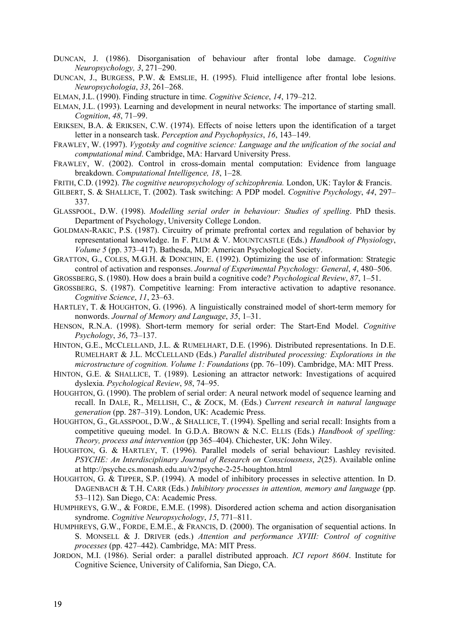- DUNCAN, J. (1986). Disorganisation of behaviour after frontal lobe damage. *Cognitive Neuropsychology, 3*, 271–290.
- DUNCAN, J., BURGESS, P.W. & EMSLIE, H. (1995). Fluid intelligence after frontal lobe lesions. *Neuropsychologia*, *33*, 261–268.
- ELMAN, J.L. (1990). Finding structure in time. *Cognitive Science*, *14*, 179–212.
- ELMAN, J.L. (1993). Learning and development in neural networks: The importance of starting small. *Cognition*, *48*, 71–99.
- ERIKSEN, B.A. & ERIKSEN, C.W. (1974). Effects of noise letters upon the identification of a target letter in a nonsearch task. *Perception and Psychophysics*, *16*, 143–149.
- FRAWLEY, W. (1997). *Vygotsky and cognitive science: Language and the unification of the social and computational mind*. Cambridge, MA: Harvard University Press.
- FRAWLEY, W. (2002). Control in cross-domain mental computation: Evidence from language breakdown. *Computational Intelligence, 18*, 1–28*.*
- FRITH, C.D. (1992). *The cognitive neuropsychology of schizophrenia.* London, UK: Taylor & Francis.
- GILBERT, S. & SHALLICE, T. (2002). Task switching: A PDP model. *Cognitive Psychology*, *44*, 297– 337.
- GLASSPOOL, D.W. (1998). *Modelling serial order in behaviour: Studies of spelling*. PhD thesis. Department of Psychology, University College London.
- GOLDMAN-RAKIC, P.S. (1987). Circuitry of primate prefrontal cortex and regulation of behavior by representational knowledge. In F. PLUM & V. MOUNTCASTLE (Eds.) *Handbook of Physiology*, *Volume 5* (pp. 373–417). Bathesda, MD: American Psychological Society.
- GRATTON, G., COLES, M.G.H. & DONCHIN, E. (1992). Optimizing the use of information: Strategic control of activation and responses. *Journal of Experimental Psychology: General*, *4*, 480–506.
- GROSSBERG, S. (1980). How does a brain build a cognitive code? *Psychological Review*, *87*, 1–51.
- GROSSBERG, S. (1987). Competitive learning: From interactive activation to adaptive resonance. *Cognitive Science*, *11*, 23–63.
- HARTLEY, T. & HOUGHTON, G. (1996). A linguistically constrained model of short-term memory for nonwords. *Journal of Memory and Language*, *35*, 1–31.
- HENSON, R.N.A. (1998). Short-term memory for serial order: The Start-End Model. *Cognitive Psychology*, *36*, 73–137.
- HINTON, G.E., MCCLELLAND, J.L. & RUMELHART, D.E. (1996). Distributed representations. In D.E. RUMELHART & J.L. MCCLELLAND (Eds.) *Parallel distributed processing: Explorations in the microstructure of cognition. Volume 1: Foundations* (pp. 76–109). Cambridge, MA: MIT Press.
- HINTON, G.E. & SHALLICE, T. (1989). Lesioning an attractor network: Investigations of acquired dyslexia. *Psychological Review*, *98*, 74–95.
- HOUGHTON, G. (1990). The problem of serial order: A neural network model of sequence learning and recall. In DALE, R., MELLISH, C., & ZOCK, M. (Eds.) *Current research in natural language generation* (pp. 287–319). London, UK: Academic Press.
- HOUGHTON, G., GLASSPOOL, D.W., & SHALLICE, T. (1994). Spelling and serial recall: Insights from a competitive queuing model. In G.D.A. BROWN & N.C. ELLIS (Eds.) *Handbook of spelling: Theory, process and intervention* (pp 365–404). Chichester, UK: John Wiley.
- HOUGHTON, G. & HARTLEY, T. (1996). Parallel models of serial behaviour: Lashley revisited. *PSYCHE: An Interdisciplinary Journal of Research on Consciousness*, *2*(25). Available online at http://psyche.cs.monash.edu.au/v2/psyche-2-25-houghton.html
- HOUGHTON, G. & TIPPER, S.P. (1994). A model of inhibitory processes in selective attention. In D. DAGENBACH & T.H. CARR (Eds.) *Inhibitory processes in attention, memory and language* (pp. 53–112). San Diego, CA: Academic Press.
- HUMPHREYS, G.W., & FORDE, E.M.E. (1998). Disordered action schema and action disorganisation syndrome. *Cognitive Neuropsychology*, *15*, 771–811.
- HUMPHREYS, G.W., FORDE, E.M.E., & FRANCIS, D. (2000). The organisation of sequential actions. In S. MONSELL & J. DRIVER (eds.) *Attention and performance XVIII: Control of cognitive processes* (pp. 427–442). Cambridge, MA: MIT Press.
- JORDON, M.I. (1986). Serial order: a parallel distributed approach. *ICI report 8604*. Institute for Cognitive Science, University of California, San Diego, CA.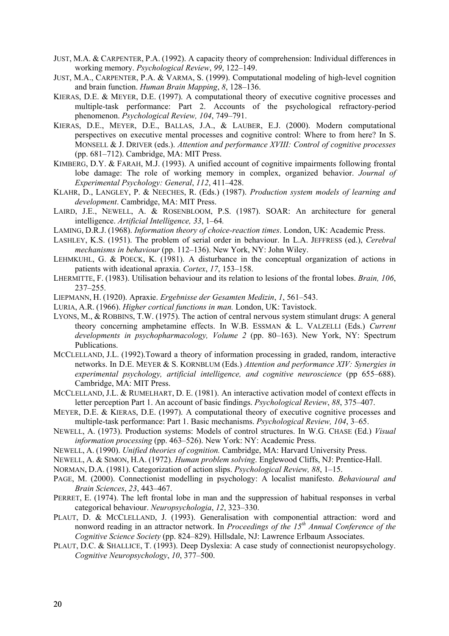- JUST, M.A. & CARPENTER, P.A. (1992). A capacity theory of comprehension: Individual differences in working memory. *Psychological Review*, *99*, 122–149.
- JUST, M.A., CARPENTER, P.A. & VARMA, S. (1999). Computational modeling of high-level cognition and brain function. *Human Brain Mapping*, *8*, 128–136.
- KIERAS, D.E. & MEYER, D.E. (1997). A computational theory of executive cognitive processes and multiple-task performance: Part 2. Accounts of the psychological refractory-period phenomenon. *Psychological Review, 104*, 749–791.
- KIERAS, D.E., MEYER, D.E., BALLAS, J.A., & LAUBER, E.J. (2000). Modern computational perspectives on executive mental processes and cognitive control: Where to from here? In S. MONSELL & J. DRIVER (eds.). *Attention and performance XVIII: Control of cognitive processes* (pp. 681–712). Cambridge, MA: MIT Press.
- KIMBERG, D.Y. & FARAH, M.J. (1993). A unified account of cognitive impairments following frontal lobe damage: The role of working memory in complex, organized behavior. *Journal of Experimental Psychology: General*, *112*, 411–428.
- KLAHR, D., LANGLEY, P. & NEECHES, R. (Eds.) (1987). *Production system models of learning and development*. Cambridge, MA: MIT Press.
- LAIRD, J.E., NEWELL, A. & ROSENBLOOM, P.S. (1987). SOAR: An architecture for general intelligence. *Artificial Intelligence, 33*, 1–64*.*
- LAMING, D.R.J. (1968). *Information theory of choice-reaction times*. London, UK: Academic Press.
- LASHLEY, K.S. (1951). The problem of serial order in behaviour. In L.A. JEFFRESS (ed.), *Cerebral mechanisms in behaviour* (pp. 112–136). New York, NY: John Wiley.
- LEHMKUHL, G. & POECK, K. (1981). A disturbance in the conceptual organization of actions in patients with ideational apraxia. *Cortex*, *17*, 153–158.
- LHERMITTE, F. (1983). Utilisation behaviour and its relation to lesions of the frontal lobes. *Brain, 106*, 237–255.
- LIEPMANN, H. (1920). Apraxie. *Ergebnisse der Gesamten Medizin*, *1*, 561–543.
- LURIA, A.R. (1966). *Higher cortical functions in man.* London, UK: Tavistock.
- LYONS, M., & ROBBINS, T.W. (1975). The action of central nervous system stimulant drugs: A general theory concerning amphetamine effects. In W.B. ESSMAN & L. VALZELLI (Eds.) *Current developments in psychopharmacology, Volume 2* (pp. 80–163). New York, NY: Spectrum Publications.
- MCCLELLAND, J.L. (1992).Toward a theory of information processing in graded, random, interactive networks. In D.E. MEYER & S. KORNBLUM (Eds.) *Attention and performance XIV: Synergies in experimental psychology, artificial intelligence, and cognitive neuroscience* (pp 655–688). Cambridge, MA: MIT Press.
- MCCLELLAND, J.L. & RUMELHART, D. E. (1981). An interactive activation model of context effects in letter perception Part 1. An account of basic findings. *Psychological Review*, *88*, 375–407.
- MEYER, D.E. & KIERAS, D.E. (1997). A computational theory of executive cognitive processes and multiple-task performance: Part 1. Basic mechanisms. *Psychological Review, 104*, 3–65.
- NEWELL, A. (1973). Production systems: Models of control structures. In W.G. CHASE (Ed.) *Visual information processing* (pp. 463–526). New York: NY: Academic Press.
- NEWELL, A. (1990). *Unified theories of cognition.* Cambridge, MA: Harvard University Press.
- NEWELL, A. & SIMON, H.A. (1972). *Human problem solving*. Englewood Cliffs, NJ: Prentice-Hall.
- NORMAN, D.A. (1981). Categorization of action slips. *Psychological Review, 88*, 1–15.
- PAGE, M. (2000). Connectionist modelling in psychology: A localist manifesto. *Behavioural and Brain Sciences*, *23*, 443–467.
- PERRET, E. (1974). The left frontal lobe in man and the suppression of habitual responses in verbal categorical behaviour. *Neuropsychologia*, *12*, 323–330.
- PLAUT, D. & MCCLELLAND, J. (1993). Generalisation with componential attraction: word and nonword reading in an attractor network. In *Proceedings of the 15th Annual Conference of the Cognitive Science Society* (pp. 824–829). Hillsdale, NJ: Lawrence Erlbaum Associates.
- PLAUT, D.C. & SHALLICE, T. (1993). Deep Dyslexia: A case study of connectionist neuropsychology. *Cognitive Neuropsychology*, *10*, 377–500.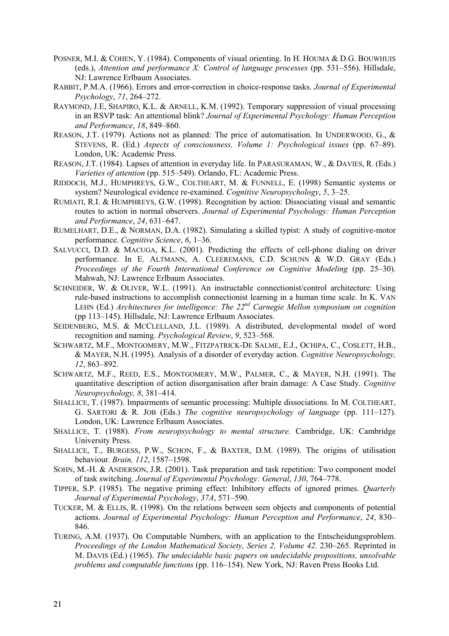- POSNER, M.I. & COHEN, Y. (1984). Components of visual orienting. In H. HOUMA & D.G. BOUWHUIS (eds.), *Attention and performance X: Control of language processes* (pp. 531–556). Hillsdale, NJ: Lawrence Erlbaum Associates.
- RABBIT, P.M.A. (1966). Errors and error-correction in choice-response tasks. *Journal of Experimental Psychology*, *71*, 264–272.
- RAYMOND, J.E, SHAPIRO, K.L. & ARNELL, K.M. (1992). Temporary suppression of visual processing in an RSVP task: An attentional blink? *Journal of Experimental Psychology: Human Perception and Performance*, *18*, 849–860.
- REASON, J.T. (1979). Actions not as planned: The price of automatisation. In UNDERWOOD, G., & STEVENS, R. (Ed.) *Aspects of consciousness, Volume 1: Psychological issues* (pp. 67–89). London, UK: Academic Press.
- REASON, J.T. (1984). Lapses of attention in everyday life. In PARASURAMAN, W., & DAVIES, R. (Eds.) *Varieties of attention* (pp. 515–549). Orlando, FL: Academic Press.
- RIDDOCH, M.J., HUMPHREYS, G.W., COLTHEART, M. & FUNNELL, E. (1998) Semantic systems or system? Neurological evidence re-examined. *Cognitive Neuropsychology*, *5*, 3–25.
- RUMIATI, R.I. & HUMPHREYS, G.W. (1998). Recognition by action: Dissociating visual and semantic routes to action in normal observers. *Journal of Experimental Psychology: Human Perception and Performance*, *24*, 631–647.
- RUMELHART, D.E., & NORMAN, D.A. (1982). Simulating a skilled typist: A study of cognitive-motor performance. *Cognitive Science*, *6*, 1–36.
- SALVUCCI, D.D. & MACUGA, K.L. (2001). Predicting the effects of cell-phone dialing on driver performance. In E. ALTMANN, A. CLEEREMANS, C.D. SCHUNN & W.D. GRAY (Eds.) *Proceedings of the Fourth International Conference on Cognitive Modeling* (pp. 25–30). Mahwah, NJ: Lawrence Erlbaum Associates.
- SCHNEIDER, W. & OLIVER, W.L. (1991). An instructable connectionist/control architecture: Using rule-based instructions to accomplish connectionist learning in a human time scale. In K. VAN LEHN (Ed.) *Architectures for intelligence: The 22nd Carnegie Mellon symposium on cognition* (pp 113–145). Hillsdale, NJ: Lawrence Erlbaum Associates.
- SEIDENBERG, M.S. & MCCLELLAND, J.L. (1989). A distributed, developmental model of word recognition and naming. *Psychological Review*, *9*, 523–568.
- SCHWARTZ, M.F., MONTGOMERY, M.W., FITZPATRICK-DE SALME, E.J., OCHIPA, C., COSLETT, H.B., & MAYER, N.H. (1995). Analysis of a disorder of everyday action. *Cognitive Neuropsychology, 12*, 863–892.
- SCHWARTZ, M.F., REED, E.S., MONTGOMERY, M.W., PALMER, C., & MAYER, N.H. (1991). The quantitative description of action disorganisation after brain damage: A Case Study. *Cognitive Neuropsychology, 8*, 381–414.
- SHALLICE, T. (1987). Impairments of semantic processing: Multiple dissociations. In M. COLTHEART, G. SARTORI & R. JOB (Eds.) *The cognitive neuropsychology of language* (pp. 111–127). London, UK: Lawrence Erlbaum Associates.
- SHALLICE, T. (1988). *From neuropsychology to mental structure.* Cambridge, UK: Cambridge University Press.
- SHALLICE, T., BURGESS, P.W., SCHON, F., & BAXTER, D.M. (1989). The origins of utilisation behaviour. *Brain, 112*, 1587–1598.
- SOHN, M.-H. & ANDERSON, J.R. (2001). Task preparation and task repetition: Two component model of task switching. *Journal of Experimental Psychology: General*, *130*, 764–778.
- TIPPER, S.P. (1985). The negative priming effect: Inhibitory effects of ignored primes. *Quarterly Journal of Experimental Psychology*, *37A*, 571–590.
- TUCKER, M. & ELLIS, R. (1998). On the relations between seen objects and components of potential actions. *Journal of Experimental Psychology: Human Perception and Performance*, *24*, 830– 846.
- TURING, A.M. (1937). On Computable Numbers, with an application to the Entscheidungsproblem. *Proceedings of the London Mathematical Society, Series 2, Volume 42*. 230–265. Reprinted in M. DAVIS (Ed.) (1965). *The undecidable basic papers on undecidable propositions, unsolvable problems and computable functions* (pp. 116–154). New York, NJ: Raven Press Books Ltd.